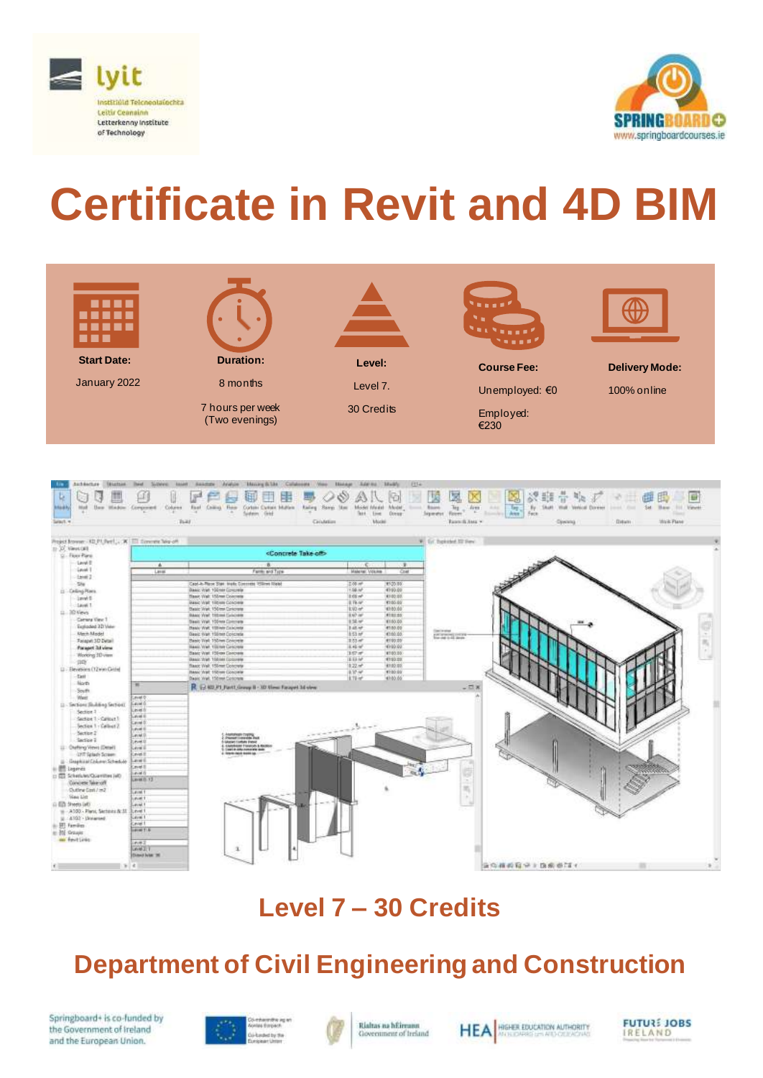



# **Certificate in Revit and 4D BIM**



| Project fromm - KD P1 (Net)  X 172 Sommer Mount                                                                                                                                                                                                                                                                                                                                                                                                                                                                                                                                                                                                                                                                 |                                                                                                                                                                                                                                                              |                                                                                                                                                                                                                                                                                                                                                                                                                                                                                                                                                                                                                                                                                                                                                                                                                        |                                                                                                                                                                                                                                                                                                                                                                                                                                  | W. Gr. bakebel 32 View                                            |
|-----------------------------------------------------------------------------------------------------------------------------------------------------------------------------------------------------------------------------------------------------------------------------------------------------------------------------------------------------------------------------------------------------------------------------------------------------------------------------------------------------------------------------------------------------------------------------------------------------------------------------------------------------------------------------------------------------------------|--------------------------------------------------------------------------------------------------------------------------------------------------------------------------------------------------------------------------------------------------------------|------------------------------------------------------------------------------------------------------------------------------------------------------------------------------------------------------------------------------------------------------------------------------------------------------------------------------------------------------------------------------------------------------------------------------------------------------------------------------------------------------------------------------------------------------------------------------------------------------------------------------------------------------------------------------------------------------------------------------------------------------------------------------------------------------------------------|----------------------------------------------------------------------------------------------------------------------------------------------------------------------------------------------------------------------------------------------------------------------------------------------------------------------------------------------------------------------------------------------------------------------------------|-------------------------------------------------------------------|
| 11-27 Viewcalt<br>St. Floor Para                                                                                                                                                                                                                                                                                                                                                                                                                                                                                                                                                                                                                                                                                |                                                                                                                                                                                                                                                              | <concrete off="" take=""></concrete>                                                                                                                                                                                                                                                                                                                                                                                                                                                                                                                                                                                                                                                                                                                                                                                   |                                                                                                                                                                                                                                                                                                                                                                                                                                  |                                                                   |
| <b>Laval E</b><br><b>Gevel 1</b>                                                                                                                                                                                                                                                                                                                                                                                                                                                                                                                                                                                                                                                                                | $\triangle$<br>Laves                                                                                                                                                                                                                                         | B<br>Family and Type:                                                                                                                                                                                                                                                                                                                                                                                                                                                                                                                                                                                                                                                                                                                                                                                                  | $-100$<br>-9<br>Malerun, Volume<br>Cost                                                                                                                                                                                                                                                                                                                                                                                          |                                                                   |
| $1 + 4 + 7$<br>5%<br><b>G. Celling Rees</b><br>inverti-<br>Layet T<br>$\Xi$ . 20 Vevs<br>Camera View 1<br>Exploded 3D View<br><b>Mach Madel</b><br>Fatepet 3D Detail<br>Paraget 3.1 view<br>Working 2D yraw<br>自动<br>[2] Slevenining (12 was Castel<br>-Tast<br>North<br>South<br>West<br>[] - Sections Shuking Sections<br>Section 7<br>Section 1 - Californ 7<br>Section 1 - Californ 2<br>Section 2<br>Saction 2<br><b>Elistency Venet (Detail)</b><br>UST Splay's Scrawn<br>Graphizal Column Schedule<br>兰<br><b>III</b> Legenda<br>(Tel) Schedulet/Quantities (el)<br>Directe Warrell<br>Cluster at Class / m2<br>View List<br>Online of the<br>- A100 - Plans, Sactoric & St.<br>$\mu$ -4302 - Divisioned | W.<br>Level 0<br>Lavet 0<br>Level B<br>Level 6<br><b>Carvet D</b><br>Larvel III<br>Level II<br>Level D<br><b>Level 8</b><br>Level 8<br><b>Level 6</b><br><b>Level B</b><br>Level ()<br>Links (1. 1.)<br>Laryat 1<br>ave 1<br>Linvel.1<br>Litred 1<br>Level 1 | Capt-In-Rane Stat: Insile Commete 1950mm Noted<br>Banic Walt 100min Govcrebs<br><b>Basic Walt 450nm Company</b><br><b><i>INANC VITAL 150 NW CONCIDENT</i></b><br>State: Wall: 150 mm Concrete<br><b>BAAU VINT TREIN Cubcook</b><br>Steels Vitel, 150mm Goldmann<br><b>Basic Walt, 158 km Calchets</b><br>Deals: Walt, 150 tell Concrete<br>Basic Well: 150nm Concrete<br><b>HAAU, Wall, 150 NH Colorado</b><br>Basic Visit 150 cm Genoves<br><b>DAM: Wall 150 MI CODINAL</b><br><b>Blanc</b> Walt, 150mm Concrete<br><b>BANCWAT 150 MI CONOMIC</b><br>Bears Well, 150mm Coroners<br>R. (240.71 Fart! Group B - 3D Nieu: Facquet 3d view<br>Analysische Control<br>Analysische Paul<br><b>Gloriet Forbits Eldon</b><br><b><i>AMISSANT FINANCES &amp; REGISCO</i></b><br>Castle-Attractories sub<br>Licens rack mode up. | 19500.000<br>2.00 m <sup>2</sup><br>4100.00<br>1.08.97<br>3.69 m <sup>2</sup><br>4100.00<br><b>K100.00</b><br>18.19.or<br>4180.00<br>100 m <sup>2</sup><br>8.97 ml<br>#180.05<br>135/10<br><b>R180.00</b><br>345.47<br>4180.00<br>4360.00<br>8:53.66<br>3.53 ml<br>#100.00<br><b>IL+1 w</b><br>1973232<br>357.45<br>W100.00<br>18.88.00<br><b>W150.00</b><br>4102.03<br>10.22.44<br>18.17.46<br><b>K100.00</b><br>4180.00<br>土井子 | <b>Concile stop</b><br><b>College to Market</b><br>$ \Box$ x<br>m |

## **Level 7 – 30 Credits**

# **Department of Civil Engineering and Construction**

Springboard+ is co-funded by the Government of Ireland and the European Union.





Rialtas na hÉireann Government of Ireland



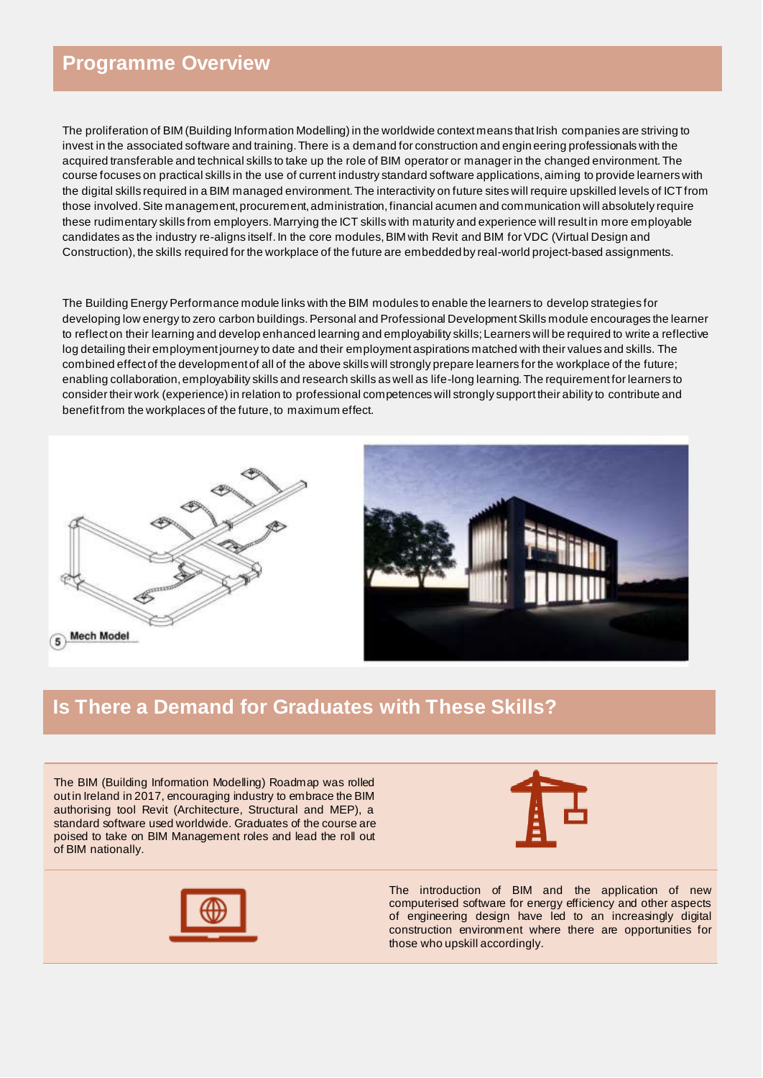#### **Programme Overview**

The proliferation of BIM (Building Information Modelling) in the worldwide context means that Irish companies are striving to invest in the associated software and training. There is a demand for construction and engin eering professionals with the acquired transferable and technical skills to take up the role of BIM operator or manager in the changed environment. The course focuses on practical skills in the use of current industry standard software applications, aiming to provide learners with the digital skills required in a BIM managed environment. The interactivity on future sites will require upskilled levels of ICTfrom those involved. Site management, procurement, administration, financial acumen and communication will absolutely require these rudimentary skills from employers. Marrying the ICT skills with maturity and experience will result in more employable candidates as the industry re-aligns itself. In the core modules, BIM with Revit and BIM for VDC (Virtual Design and Construction), the skills required for the workplace of the future are embeddedby real-world project-based assignments.

The Building Energy Performance module links with the BIM modules to enable the learners to develop strategies for developing low energy to zero carbon buildings. Personal and Professional Development Skills module encourages the learner to reflect on their learning and develop enhanced learning and employability skills; Learners will be required to write a reflective log detailing their employment journey to date and their employment aspirations matched with their values and skills. The combined effect of the development of all of the above skills will strongly prepare learners for the workplace of the future; enabling collaboration, employability skills and research skills as well as life-long learning. The requirement for learners to consider their work (experience) in relation to professional competences will strongly support their ability to contribute and benefit from the workplaces of the future, to maximum effect.





#### **Is There a Demand for Graduates with These Skills?**

The BIM (Building Information Modelling) Roadmap was rolled out in Ireland in 2017, encouraging industry to embrace the BIM authorising tool Revit (Architecture, Structural and MEP), a standard software used worldwide. Graduates of the course are poised to take on BIM Management roles and lead the roll out of BIM nationally.





The introduction of BIM and the application of new computerised software for energy efficiency and other aspects of engineering design have led to an increasingly digital construction environment where there are opportunities for those who upskill accordingly.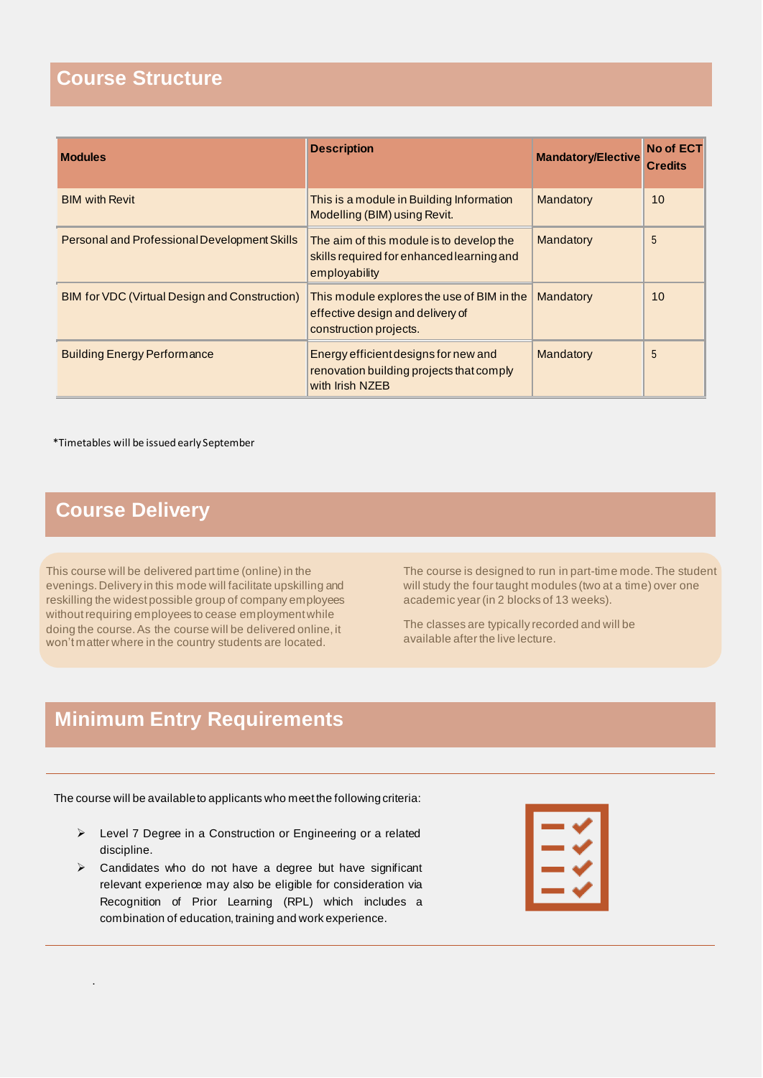#### **Course Structure**

| <b>Modules</b>                                | <b>Description</b>                                                                                       | <b>Mandatory/Elective</b> | <b>No of ECT</b><br><b>Credits</b> |
|-----------------------------------------------|----------------------------------------------------------------------------------------------------------|---------------------------|------------------------------------|
| <b>BIM with Revit</b>                         | This is a module in Building Information<br>Modelling (BIM) using Revit.                                 | Mandatory                 | 10                                 |
| Personal and Professional Development Skills  | The aim of this module is to develop the<br>skills required for enhanced learning and<br>employability   | Mandatory                 | 5                                  |
| BIM for VDC (Virtual Design and Construction) | This module explores the use of BIM in the<br>effective design and delivery of<br>construction projects. | Mandatory                 | 10                                 |
| <b>Building Energy Performance</b>            | Energy efficient designs for new and<br>renovation building projects that comply<br>with Irish NZEB      | Mandatory                 | 5                                  |

\*Timetables will be issued early September

## **Course Delivery**

.

This course will be delivered part time (online) in the evenings. Delivery in this mode will facilitate upskilling and reskilling the widest possible group of company employees without requiring employees to cease employment while doing the course. As the course will be delivered online, it won't matter where in the country students are located.

The course is designed to run in part-time mode. The student will study the four taught modules (two at a time) over one academic year (in 2 blocks of 13 weeks).

The classes are typically recorded and will be available after the live lecture.

### **Minimum Entry Requirements**

The course will be available to applicants who meet the following criteria:

- ➢ Level 7 Degree in a Construction or Engineering or a related discipline.
- ➢ Candidates who do not have a degree but have significant relevant experience may also be eligible for consideration via Recognition of Prior Learning (RPL) which includes a combination of education, training and work experience.